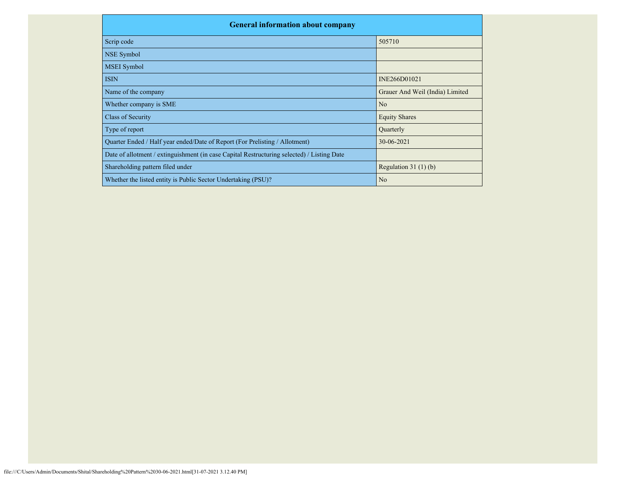| <b>General information about company</b>                                                   |                                 |  |  |  |  |  |  |  |
|--------------------------------------------------------------------------------------------|---------------------------------|--|--|--|--|--|--|--|
| Scrip code                                                                                 | 505710                          |  |  |  |  |  |  |  |
| NSE Symbol                                                                                 |                                 |  |  |  |  |  |  |  |
| <b>MSEI</b> Symbol                                                                         |                                 |  |  |  |  |  |  |  |
| <b>ISIN</b>                                                                                | INE266D01021                    |  |  |  |  |  |  |  |
| Name of the company                                                                        | Grauer And Weil (India) Limited |  |  |  |  |  |  |  |
| Whether company is SME                                                                     | N <sub>o</sub>                  |  |  |  |  |  |  |  |
| Class of Security                                                                          | <b>Equity Shares</b>            |  |  |  |  |  |  |  |
| Type of report                                                                             | Quarterly                       |  |  |  |  |  |  |  |
| Quarter Ended / Half year ended/Date of Report (For Prelisting / Allotment)                | 30-06-2021                      |  |  |  |  |  |  |  |
| Date of allotment / extinguishment (in case Capital Restructuring selected) / Listing Date |                                 |  |  |  |  |  |  |  |
| Shareholding pattern filed under                                                           | Regulation $31(1)(b)$           |  |  |  |  |  |  |  |
| Whether the listed entity is Public Sector Undertaking (PSU)?                              | N <sub>o</sub>                  |  |  |  |  |  |  |  |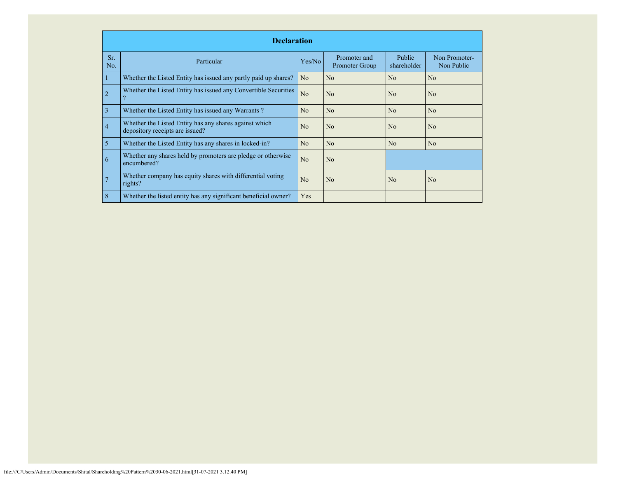|                | <b>Declaration</b>                                                                        |                |                                |                              |                             |  |  |  |  |  |
|----------------|-------------------------------------------------------------------------------------------|----------------|--------------------------------|------------------------------|-----------------------------|--|--|--|--|--|
| Sr.<br>No.     | Particular                                                                                | Yes/No         | Promoter and<br>Promoter Group | <b>Public</b><br>shareholder | Non Promoter-<br>Non Public |  |  |  |  |  |
|                | Whether the Listed Entity has issued any partly paid up shares?                           | N <sub>o</sub> | No                             | No                           | N <sub>o</sub>              |  |  |  |  |  |
| $\overline{2}$ | Whether the Listed Entity has issued any Convertible Securities                           | N <sub>o</sub> | N <sub>0</sub>                 | No                           | N <sub>o</sub>              |  |  |  |  |  |
| 3              | Whether the Listed Entity has issued any Warrants?                                        | N <sub>o</sub> | N <sub>o</sub>                 | No                           | N <sub>o</sub>              |  |  |  |  |  |
| $\overline{4}$ | Whether the Listed Entity has any shares against which<br>depository receipts are issued? | N <sub>0</sub> | N <sub>o</sub>                 | N <sub>0</sub>               | N <sub>o</sub>              |  |  |  |  |  |
| 5              | Whether the Listed Entity has any shares in locked-in?                                    | No             | No                             | No                           | N <sub>o</sub>              |  |  |  |  |  |
| 6              | Whether any shares held by promoters are pledge or otherwise<br>encumbered?               | N <sub>o</sub> | N <sub>o</sub>                 |                              |                             |  |  |  |  |  |
| 7              | Whether company has equity shares with differential voting<br>rights?                     | No             | No                             | N <sub>0</sub>               | N <sub>o</sub>              |  |  |  |  |  |
| 8              | Whether the listed entity has any significant beneficial owner?                           | Yes            |                                |                              |                             |  |  |  |  |  |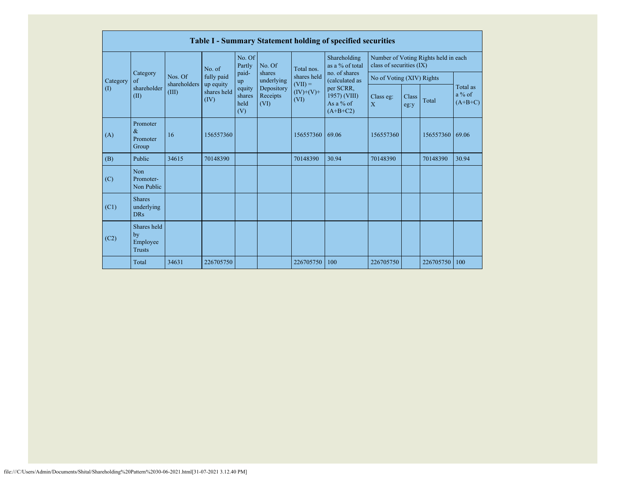|          |                                                |                         |                         |                                 |                                                                  |                                                 | Table I - Summary Statement holding of specified securities            |                                                                  |               |           |                                   |
|----------|------------------------------------------------|-------------------------|-------------------------|---------------------------------|------------------------------------------------------------------|-------------------------------------------------|------------------------------------------------------------------------|------------------------------------------------------------------|---------------|-----------|-----------------------------------|
|          |                                                |                         | No. of                  | No. Of<br>Partly                | No. Of<br>shares<br>underlying<br>Depository<br>Receipts<br>(VI) | Total nos.                                      | Shareholding<br>as a % of total<br>no. of shares                       | Number of Voting Rights held in each<br>class of securities (IX) |               |           |                                   |
| Category | Category<br>$\alpha$ f<br>shareholder<br>(II)  | Nos. Of<br>shareholders | fully paid<br>up equity | paid-<br>up                     |                                                                  | shares held<br>$(VII) =$<br>$(IV)+(V)+$<br>(VI) | (calculated as<br>per SCRR,<br>1957) (VIII)<br>As a % of<br>$(A+B+C2)$ | No of Voting (XIV) Rights                                        |               |           |                                   |
| (1)      |                                                | (III)                   | shares held<br>(IV)     | equity<br>shares<br>held<br>(V) |                                                                  |                                                 |                                                                        | Class eg:<br>$\mathbf{X}$                                        | Class<br>eg:y | Total     | Total as<br>$a\%$ of<br>$(A+B+C)$ |
| (A)      | Promoter<br>$\&$<br>Promoter<br>Group          | 16                      | 156557360               |                                 |                                                                  | 156557360                                       | 69.06                                                                  | 156557360                                                        |               | 156557360 | 69.06                             |
| (B)      | Public                                         | 34615                   | 70148390                |                                 |                                                                  | 70148390                                        | 30.94                                                                  | 70148390                                                         |               | 70148390  | 30.94                             |
| (C)      | <b>Non</b><br>Promoter-<br>Non Public          |                         |                         |                                 |                                                                  |                                                 |                                                                        |                                                                  |               |           |                                   |
| (C1)     | <b>Shares</b><br>underlying<br><b>DRs</b>      |                         |                         |                                 |                                                                  |                                                 |                                                                        |                                                                  |               |           |                                   |
| (C2)     | Shares held<br>by<br>Employee<br><b>Trusts</b> |                         |                         |                                 |                                                                  |                                                 |                                                                        |                                                                  |               |           |                                   |
|          | Total                                          | 34631                   | 226705750               |                                 |                                                                  | 226705750                                       | 100                                                                    | 226705750                                                        |               | 226705750 | 100                               |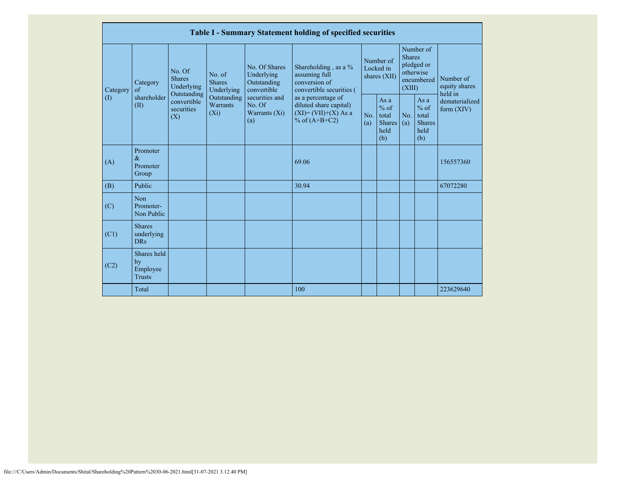|                            | Table I - Summary Statement holding of specified securities |                                                      |                                                                                                                                   |                                                                                             |                                                  |                                                           |                                        |                                                                               |  |                                                                         |  |
|----------------------------|-------------------------------------------------------------|------------------------------------------------------|-----------------------------------------------------------------------------------------------------------------------------------|---------------------------------------------------------------------------------------------|--------------------------------------------------|-----------------------------------------------------------|----------------------------------------|-------------------------------------------------------------------------------|--|-------------------------------------------------------------------------|--|
| Category                   | Category<br>$\alpha$ f                                      | No. Of<br><b>Shares</b><br>Underlying<br>Outstanding | No. of<br><b>Shares</b><br>Underlying                                                                                             | No. Of Shares<br>Underlying<br>assuming full<br>conversion of<br>Outstanding<br>convertible | Shareholding, as a %<br>convertible securities ( |                                                           | Number of<br>Locked in<br>shares (XII) | Number of<br><b>Shares</b><br>pledged or<br>otherwise<br>encumbered<br>(XIII) |  | Number of<br>equity shares<br>held in<br>dematerialized<br>form $(XIV)$ |  |
| $\left( \mathrm{I}\right)$ | shareholder<br>(II)                                         | convertible<br>securities<br>(X)                     | Outstanding<br>securities and<br>as a percentage of<br>Warrants<br>No. Of<br>$(X_i)$<br>Warrants $(Xi)$<br>% of $(A+B+C2)$<br>(a) | diluted share capital)<br>$(XI) = (VII)+(X) As a$                                           | No.<br>(a)                                       | As $a$<br>$%$ of<br>total<br><b>Shares</b><br>held<br>(b) | No.<br>(a)                             | As a<br>$%$ of<br>total<br>Shares<br>held<br>(b)                              |  |                                                                         |  |
| (A)                        | Promoter<br>$\&$<br>Promoter<br>Group                       |                                                      |                                                                                                                                   |                                                                                             | 69.06                                            |                                                           |                                        |                                                                               |  | 156557360                                                               |  |
| (B)                        | Public                                                      |                                                      |                                                                                                                                   |                                                                                             | 30.94                                            |                                                           |                                        |                                                                               |  | 67072280                                                                |  |
| (C)                        | Non<br>Promoter-<br>Non Public                              |                                                      |                                                                                                                                   |                                                                                             |                                                  |                                                           |                                        |                                                                               |  |                                                                         |  |
| (C1)                       | <b>Shares</b><br>underlying<br>DR <sub>s</sub>              |                                                      |                                                                                                                                   |                                                                                             |                                                  |                                                           |                                        |                                                                               |  |                                                                         |  |
| (C2)                       | Shares held<br>by<br>Employee<br><b>Trusts</b>              |                                                      |                                                                                                                                   |                                                                                             |                                                  |                                                           |                                        |                                                                               |  |                                                                         |  |
|                            | Total                                                       |                                                      |                                                                                                                                   |                                                                                             | 100                                              |                                                           |                                        |                                                                               |  | 223629640                                                               |  |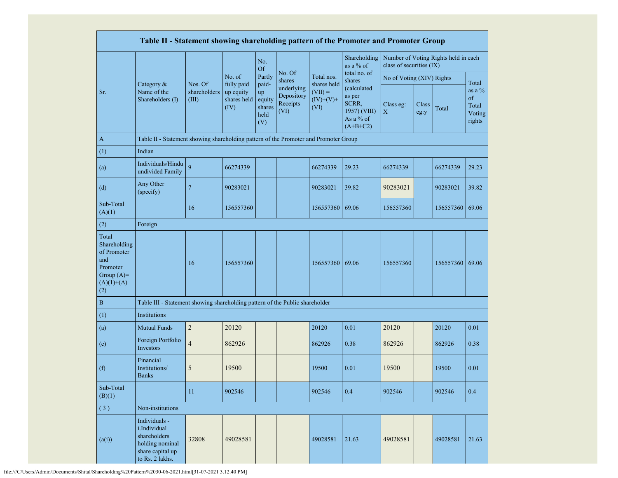|                                                                                                | Table II - Statement showing shareholding pattern of the Promoter and Promoter Group                    |                                  |                                                |                                                |                                              |                                                 |                                                                           |                           |               |                                      |                                              |
|------------------------------------------------------------------------------------------------|---------------------------------------------------------------------------------------------------------|----------------------------------|------------------------------------------------|------------------------------------------------|----------------------------------------------|-------------------------------------------------|---------------------------------------------------------------------------|---------------------------|---------------|--------------------------------------|----------------------------------------------|
|                                                                                                |                                                                                                         |                                  |                                                | No.<br><b>Of</b>                               |                                              |                                                 | Shareholding<br>as a % of                                                 | class of securities (IX)  |               | Number of Voting Rights held in each |                                              |
|                                                                                                |                                                                                                         |                                  | No. of                                         | Partly                                         | No. Of<br>shares                             | Total nos.                                      | total no. of<br>shares                                                    | No of Voting (XIV) Rights |               |                                      | Total                                        |
| Sr.                                                                                            | Category &<br>Name of the<br>Shareholders (I)                                                           | Nos. Of<br>shareholders<br>(III) | fully paid<br>up equity<br>shares held<br>(IV) | paid-<br>up<br>equity<br>shares<br>held<br>(V) | underlying<br>Depository<br>Receipts<br>(VI) | shares held<br>$(VII) =$<br>$(IV)+(V)+$<br>(VI) | (calculated<br>as per<br>SCRR,<br>1957) (VIII)<br>As a % of<br>$(A+B+C2)$ | Class eg:<br>$\mathbf X$  | Class<br>eg:y | Total                                | as a $\%$<br>of<br>Total<br>Voting<br>rights |
| $\mathbf{A}$                                                                                   | Table II - Statement showing shareholding pattern of the Promoter and Promoter Group                    |                                  |                                                |                                                |                                              |                                                 |                                                                           |                           |               |                                      |                                              |
| (1)                                                                                            | Indian                                                                                                  |                                  |                                                |                                                |                                              |                                                 |                                                                           |                           |               |                                      |                                              |
| (a)                                                                                            | Individuals/Hindu<br>undivided Family                                                                   | 9                                | 66274339                                       |                                                |                                              | 66274339                                        | 29.23                                                                     | 66274339                  |               | 66274339                             | 29.23                                        |
| (d)                                                                                            | Any Other<br>(specify)                                                                                  | $\overline{7}$                   | 90283021                                       |                                                |                                              | 90283021                                        | 39.82                                                                     | 90283021                  |               | 90283021                             | 39.82                                        |
| Sub-Total<br>(A)(1)                                                                            |                                                                                                         | 16                               | 156557360                                      |                                                |                                              | 156557360                                       | 69.06                                                                     | 156557360                 |               | 156557360                            | 69.06                                        |
| (2)                                                                                            | Foreign                                                                                                 |                                  |                                                |                                                |                                              |                                                 |                                                                           |                           |               |                                      |                                              |
| Total<br>Shareholding<br>of Promoter<br>and<br>Promoter<br>Group $(A)=$<br>$(A)(1)+(A)$<br>(2) |                                                                                                         | 16                               | 156557360                                      |                                                |                                              | 156557360 69.06                                 |                                                                           | 156557360                 |               | 156557360 69.06                      |                                              |
| $\, {\bf B}$                                                                                   | Table III - Statement showing shareholding pattern of the Public shareholder                            |                                  |                                                |                                                |                                              |                                                 |                                                                           |                           |               |                                      |                                              |
| (1)                                                                                            | Institutions                                                                                            |                                  |                                                |                                                |                                              |                                                 |                                                                           |                           |               |                                      |                                              |
| (a)                                                                                            | <b>Mutual Funds</b>                                                                                     | $\overline{2}$                   | 20120                                          |                                                |                                              | 20120                                           | 0.01                                                                      | 20120                     |               | 20120                                | 0.01                                         |
| (e)                                                                                            | Foreign Portfolio<br>Investors                                                                          | $\overline{4}$                   | 862926                                         |                                                |                                              | 862926                                          | 0.38                                                                      | 862926                    |               | 862926                               | 0.38                                         |
| (f)                                                                                            | Financial<br>Institutions/<br><b>Banks</b>                                                              | 5                                | 19500                                          |                                                |                                              | 19500                                           | 0.01                                                                      | 19500                     |               | 19500                                | 0.01                                         |
| Sub-Total<br>(B)(1)                                                                            |                                                                                                         | 11                               | 902546                                         |                                                |                                              | 902546                                          | 0.4                                                                       | 902546                    |               | 902546                               | 0.4                                          |
| (3)                                                                                            | Non-institutions                                                                                        |                                  |                                                |                                                |                                              |                                                 |                                                                           |                           |               |                                      |                                              |
| (a(i))                                                                                         | Individuals -<br>i.Individual<br>shareholders<br>holding nominal<br>share capital up<br>to Rs. 2 lakhs. | 32808                            | 49028581                                       |                                                |                                              | 49028581                                        | 21.63                                                                     | 49028581                  |               | 49028581                             | 21.63                                        |

file:///C/Users/Admin/Documents/Shital/Shareholding%20Pattern%2030-06-2021.html[31-07-2021 3.12.40 PM]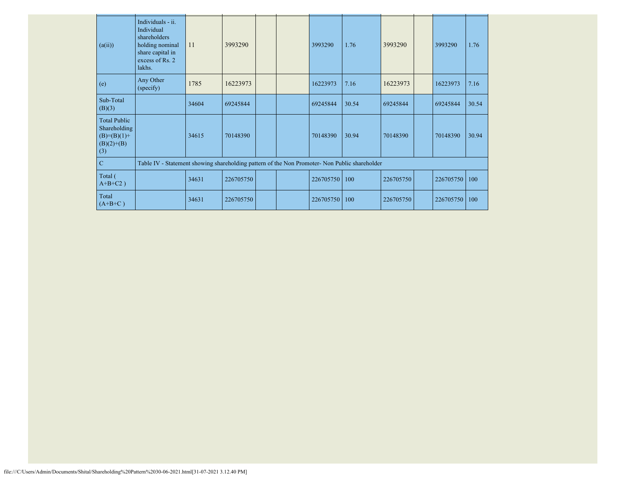| (a(ii))                                                                       | Individuals - ii.<br>Individual<br>shareholders<br>holding nominal<br>share capital in<br>excess of Rs. 2<br>lakhs. | 11    | 3993290   |  | 3993290   | 1.76  | 3993290   | 3993290   | 1.76  |
|-------------------------------------------------------------------------------|---------------------------------------------------------------------------------------------------------------------|-------|-----------|--|-----------|-------|-----------|-----------|-------|
| (e)                                                                           | Any Other<br>(specify)                                                                                              | 1785  | 16223973  |  | 16223973  | 7.16  | 16223973  | 16223973  | 7.16  |
| Sub-Total<br>(B)(3)                                                           |                                                                                                                     | 34604 | 69245844  |  | 69245844  | 30.54 | 69245844  | 69245844  | 30.54 |
| <b>Total Public</b><br>Shareholding<br>$(B)= (B)(1) +$<br>$(B)(2)+(B)$<br>(3) |                                                                                                                     | 34615 | 70148390  |  | 70148390  | 30.94 | 70148390  | 70148390  | 30.94 |
| $\mathbf C$                                                                   | Table IV - Statement showing shareholding pattern of the Non Promoter- Non Public shareholder                       |       |           |  |           |       |           |           |       |
| Total (<br>$A+B+C2$ )                                                         |                                                                                                                     | 34631 | 226705750 |  | 226705750 | 100   | 226705750 | 226705750 | 100   |
| Total<br>$(A+B+C)$                                                            |                                                                                                                     | 34631 | 226705750 |  | 226705750 | 100   | 226705750 | 226705750 | 100   |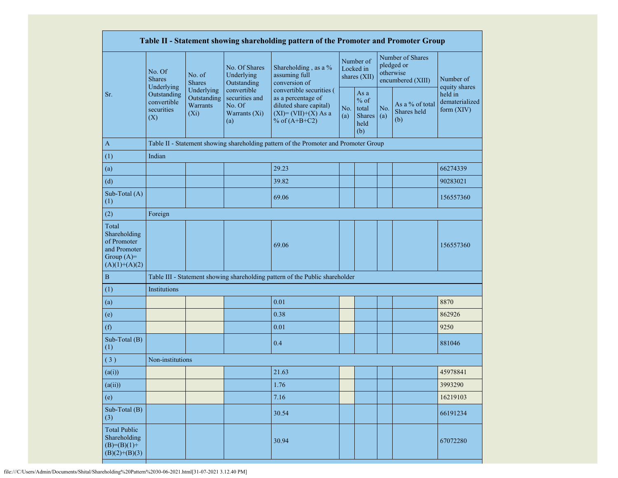| Table II - Statement showing shareholding pattern of the Promoter and Promoter Group    |                                                 |                                                  |                                                                 |                                                                                                                        |            |                                                  |            |                                                                  |                                           |
|-----------------------------------------------------------------------------------------|-------------------------------------------------|--------------------------------------------------|-----------------------------------------------------------------|------------------------------------------------------------------------------------------------------------------------|------------|--------------------------------------------------|------------|------------------------------------------------------------------|-------------------------------------------|
|                                                                                         | No. Of<br><b>Shares</b><br>Underlying           | No. of<br><b>Shares</b>                          | No. Of Shares<br>Underlying<br>Outstanding                      | Shareholding, as a %<br>assuming full<br>conversion of                                                                 |            | Number of<br>Locked in<br>shares (XII)           |            | Number of Shares<br>pledged or<br>otherwise<br>encumbered (XIII) | Number of<br>equity shares                |
| Sr.                                                                                     | Outstanding<br>convertible<br>securities<br>(X) | Underlying<br>Outstanding<br>Warrants<br>$(X_i)$ | convertible<br>securities and<br>No. Of<br>Warrants (Xi)<br>(a) | convertible securities (<br>as a percentage of<br>diluted share capital)<br>$(XI) = (VII)+(X) As a$<br>% of $(A+B+C2)$ | No.<br>(a) | As a<br>$%$ of<br>total<br>Shares<br>held<br>(b) | No.<br>(a) | As a % of total<br>Shares held<br>(b)                            | held in<br>dematerialized<br>form $(XIV)$ |
| $\mathbf{A}$                                                                            |                                                 |                                                  |                                                                 | Table II - Statement showing shareholding pattern of the Promoter and Promoter Group                                   |            |                                                  |            |                                                                  |                                           |
| (1)                                                                                     | Indian                                          |                                                  |                                                                 |                                                                                                                        |            |                                                  |            |                                                                  |                                           |
| (a)                                                                                     |                                                 |                                                  |                                                                 | 29.23                                                                                                                  |            |                                                  |            |                                                                  | 66274339                                  |
| (d)                                                                                     |                                                 |                                                  |                                                                 | 39.82                                                                                                                  |            |                                                  |            |                                                                  | 90283021                                  |
| Sub-Total (A)<br>(1)                                                                    |                                                 |                                                  |                                                                 | 69.06                                                                                                                  |            |                                                  |            |                                                                  | 156557360                                 |
| (2)                                                                                     | Foreign                                         |                                                  |                                                                 |                                                                                                                        |            |                                                  |            |                                                                  |                                           |
| Total<br>Shareholding<br>of Promoter<br>and Promoter<br>Group $(A)=$<br>$(A)(1)+(A)(2)$ |                                                 |                                                  |                                                                 | 69.06                                                                                                                  |            |                                                  |            |                                                                  | 156557360                                 |
| $\, {\bf B}$                                                                            |                                                 |                                                  |                                                                 | Table III - Statement showing shareholding pattern of the Public shareholder                                           |            |                                                  |            |                                                                  |                                           |
| (1)                                                                                     | Institutions                                    |                                                  |                                                                 |                                                                                                                        |            |                                                  |            |                                                                  |                                           |
| (a)                                                                                     |                                                 |                                                  |                                                                 | 0.01                                                                                                                   |            |                                                  |            |                                                                  | 8870                                      |
| (e)                                                                                     |                                                 |                                                  |                                                                 | 0.38                                                                                                                   |            |                                                  |            |                                                                  | 862926                                    |
| (f)                                                                                     |                                                 |                                                  |                                                                 | 0.01                                                                                                                   |            |                                                  |            |                                                                  | 9250                                      |
| Sub-Total (B)<br>(1)                                                                    |                                                 |                                                  |                                                                 | 0.4                                                                                                                    |            |                                                  |            |                                                                  | 881046                                    |
| $\overline{3)}$                                                                         | Non-institutions                                |                                                  |                                                                 |                                                                                                                        |            |                                                  |            |                                                                  |                                           |
| (a(i))                                                                                  |                                                 |                                                  |                                                                 | 21.63                                                                                                                  |            |                                                  |            |                                                                  | 45978841                                  |
| (a(ii))                                                                                 |                                                 |                                                  |                                                                 | 1.76                                                                                                                   |            |                                                  |            |                                                                  | 3993290                                   |
| (e)                                                                                     |                                                 |                                                  |                                                                 | 7.16                                                                                                                   |            |                                                  |            |                                                                  | 16219103                                  |
| Sub-Total (B)<br>(3)                                                                    |                                                 |                                                  |                                                                 | 30.54                                                                                                                  |            |                                                  |            |                                                                  | 66191234                                  |
| <b>Total Public</b><br>Shareholding<br>$(B)=(B)(1)+$<br>$(B)(2)+(B)(3)$                 |                                                 |                                                  |                                                                 | 30.94                                                                                                                  |            |                                                  |            |                                                                  | 67072280                                  |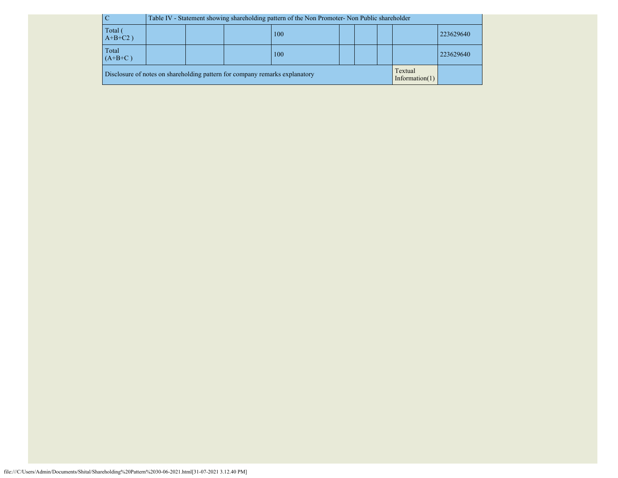| $\overline{\mathbf{C}}$                                                                                     |                  | Table IV - Statement showing shareholding pattern of the Non Promoter- Non Public shareholder |  |  |  |  |  |  |  |  |
|-------------------------------------------------------------------------------------------------------------|------------------|-----------------------------------------------------------------------------------------------|--|--|--|--|--|--|--|--|
| Total<br>$A+B+C2$ )                                                                                         |                  | 223629640<br>100                                                                              |  |  |  |  |  |  |  |  |
| Total<br>$(A+B+C)$                                                                                          | 223629640<br>100 |                                                                                               |  |  |  |  |  |  |  |  |
| Textual<br>Disclosure of notes on shareholding pattern for company remarks explanatory<br>Information $(1)$ |                  |                                                                                               |  |  |  |  |  |  |  |  |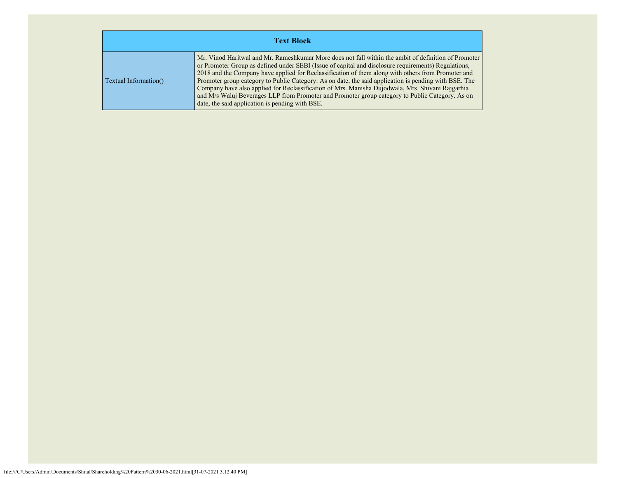| <b>Text Block</b>     |                                                                                                                                                                                                                                                                                                                                                                                                                                                                                                                                                                                                                                                                                      |  |  |  |  |  |  |  |
|-----------------------|--------------------------------------------------------------------------------------------------------------------------------------------------------------------------------------------------------------------------------------------------------------------------------------------------------------------------------------------------------------------------------------------------------------------------------------------------------------------------------------------------------------------------------------------------------------------------------------------------------------------------------------------------------------------------------------|--|--|--|--|--|--|--|
| Textual Information() | Mr. Vinod Haritwal and Mr. Rameshkumar More does not fall within the ambit of definition of Promoter<br>or Promoter Group as defined under SEBI (Issue of capital and disclosure requirements) Regulations,<br>2018 and the Company have applied for Reclassification of them along with others from Promoter and<br>Promoter group category to Public Category. As on date, the said application is pending with BSE. The<br>Company have also applied for Reclassification of Mrs. Manisha Dujodwala, Mrs. Shivani Rajgarhia<br>and M/s Waluj Beverages LLP from Promoter and Promoter group category to Public Category. As on<br>date, the said application is pending with BSE. |  |  |  |  |  |  |  |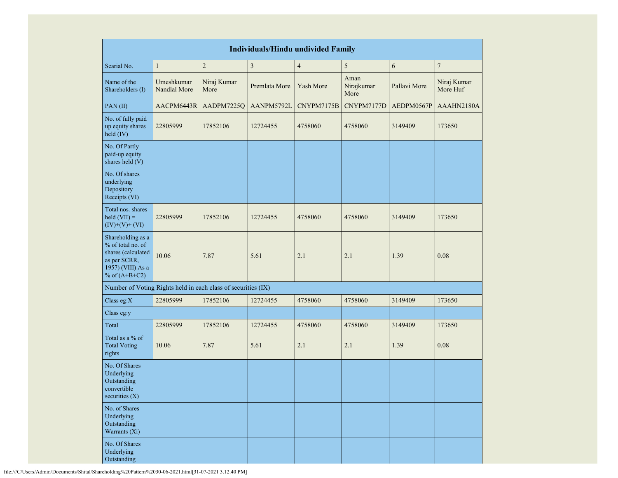| <b>Individuals/Hindu undivided Family</b>                                                                            |                            |                     |                         |                         |                            |              |                         |  |  |
|----------------------------------------------------------------------------------------------------------------------|----------------------------|---------------------|-------------------------|-------------------------|----------------------------|--------------|-------------------------|--|--|
| Searial No.                                                                                                          | $\mathbf{1}$               | $\overline{c}$      | $\overline{\mathbf{3}}$ | $\overline{\mathbf{4}}$ | 5                          | 6            | $\boldsymbol{7}$        |  |  |
| Name of the<br>Shareholders (I)                                                                                      | Umeshkumar<br>Nandlal More | Niraj Kumar<br>More | Premlata More           | Yash More               | Aman<br>Nirajkumar<br>More | Pallavi More | Niraj Kumar<br>More Huf |  |  |
| PAN(II)                                                                                                              | AACPM6443R                 | AADPM7225Q          | AANPM5792L              | CNYPM7175B              | CNYPM7177D                 | AEDPM0567P   | AAAHN2180A              |  |  |
| No. of fully paid<br>up equity shares<br>held (IV)                                                                   | 22805999                   | 17852106            | 12724455                | 4758060                 | 4758060                    | 3149409      | 173650                  |  |  |
| No. Of Partly<br>paid-up equity<br>shares held (V)                                                                   |                            |                     |                         |                         |                            |              |                         |  |  |
| No. Of shares<br>underlying<br>Depository<br>Receipts (VI)                                                           |                            |                     |                         |                         |                            |              |                         |  |  |
| Total nos. shares<br>$\text{held (VII)} =$<br>$(IV)+(V)+(VI)$                                                        | 22805999                   | 17852106            | 12724455                | 4758060                 | 4758060                    | 3149409      | 173650                  |  |  |
| Shareholding as a<br>% of total no. of<br>shares (calculated<br>as per SCRR,<br>1957) (VIII) As a<br>% of $(A+B+C2)$ | 10.06                      | 7.87                | 5.61                    | 2.1                     | 2.1                        | 1.39         | 0.08                    |  |  |
| Number of Voting Rights held in each class of securities (IX)                                                        |                            |                     |                         |                         |                            |              |                         |  |  |
| Class eg:X                                                                                                           | 22805999                   | 17852106            | 12724455                | 4758060                 | 4758060                    | 3149409      | 173650                  |  |  |
| Class eg:y                                                                                                           |                            |                     |                         |                         |                            |              |                         |  |  |
| Total                                                                                                                | 22805999                   | 17852106            | 12724455                | 4758060                 | 4758060                    | 3149409      | 173650                  |  |  |
| Total as a % of<br><b>Total Voting</b><br>rights                                                                     | 10.06                      | 7.87                | 5.61                    | 2.1                     | 2.1                        | 1.39         | 0.08                    |  |  |
| No. Of Shares<br>Underlying<br>Outstanding<br>convertible<br>securities $(X)$                                        |                            |                     |                         |                         |                            |              |                         |  |  |
| No. of Shares<br>Underlying<br>Outstanding<br>Warrants (Xi)                                                          |                            |                     |                         |                         |                            |              |                         |  |  |
| No. Of Shares<br>Underlying<br>Outstanding                                                                           |                            |                     |                         |                         |                            |              |                         |  |  |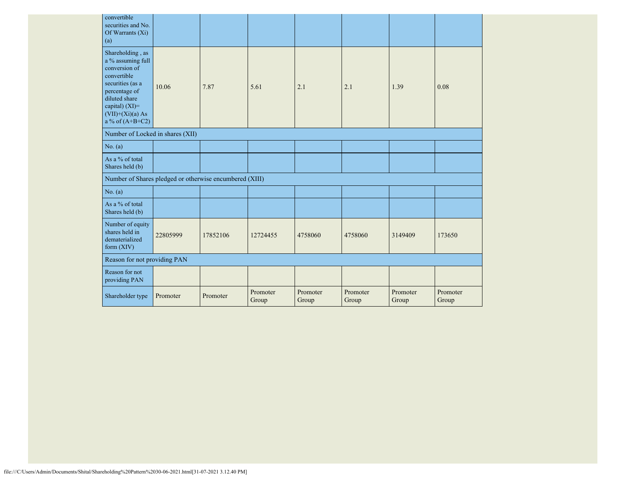| convertible<br>securities and No.<br>Of Warrants $(X_i)$<br>(a)                                                                                                                          |          |          |                   |                   |                   |                   |                   |
|------------------------------------------------------------------------------------------------------------------------------------------------------------------------------------------|----------|----------|-------------------|-------------------|-------------------|-------------------|-------------------|
| Shareholding, as<br>a % assuming full<br>conversion of<br>convertible<br>securities (as a<br>percentage of<br>diluted share<br>capital) (XI)=<br>$(VII)+(Xi)(a) As$<br>a % of $(A+B+C2)$ | 10.06    | 7.87     | 5.61              | 2.1               | 2.1               | 1.39              | 0.08              |
| Number of Locked in shares (XII)                                                                                                                                                         |          |          |                   |                   |                   |                   |                   |
| No. (a)                                                                                                                                                                                  |          |          |                   |                   |                   |                   |                   |
| As a % of total<br>Shares held (b)                                                                                                                                                       |          |          |                   |                   |                   |                   |                   |
| Number of Shares pledged or otherwise encumbered (XIII)                                                                                                                                  |          |          |                   |                   |                   |                   |                   |
| No. (a)                                                                                                                                                                                  |          |          |                   |                   |                   |                   |                   |
| As a % of total<br>Shares held (b)                                                                                                                                                       |          |          |                   |                   |                   |                   |                   |
| Number of equity<br>shares held in<br>dematerialized<br>form $(XIV)$                                                                                                                     | 22805999 | 17852106 | 12724455          | 4758060           | 4758060           | 3149409           | 173650            |
| Reason for not providing PAN                                                                                                                                                             |          |          |                   |                   |                   |                   |                   |
| Reason for not<br>providing PAN                                                                                                                                                          |          |          |                   |                   |                   |                   |                   |
| Shareholder type                                                                                                                                                                         | Promoter | Promoter | Promoter<br>Group | Promoter<br>Group | Promoter<br>Group | Promoter<br>Group | Promoter<br>Group |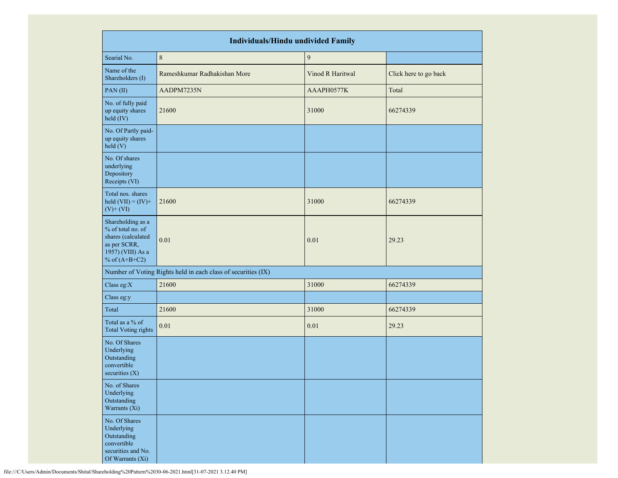|                                                                                                                      | <b>Individuals/Hindu undivided Family</b>                     |                  |                       |  |  |  |  |  |  |  |
|----------------------------------------------------------------------------------------------------------------------|---------------------------------------------------------------|------------------|-----------------------|--|--|--|--|--|--|--|
| Searial No.                                                                                                          | $\,8\,$                                                       | $\boldsymbol{9}$ |                       |  |  |  |  |  |  |  |
| Name of the<br>Shareholders (I)                                                                                      | Rameshkumar Radhakishan More                                  | Vinod R Haritwal | Click here to go back |  |  |  |  |  |  |  |
| PAN (II)                                                                                                             | AADPM7235N                                                    | AAAPH0577K       | Total                 |  |  |  |  |  |  |  |
| No. of fully paid<br>up equity shares<br>held (IV)                                                                   | 21600                                                         | 31000            | 66274339              |  |  |  |  |  |  |  |
| No. Of Partly paid-<br>up equity shares<br>held (V)                                                                  |                                                               |                  |                       |  |  |  |  |  |  |  |
| No. Of shares<br>underlying<br>Depository<br>Receipts (VI)                                                           |                                                               |                  |                       |  |  |  |  |  |  |  |
| Total nos. shares<br>held $(VII) = (IV) +$<br>$(V)$ + $(VI)$                                                         | 21600                                                         | 31000            | 66274339              |  |  |  |  |  |  |  |
| Shareholding as a<br>% of total no. of<br>shares (calculated<br>as per SCRR,<br>1957) (VIII) As a<br>% of $(A+B+C2)$ | 0.01                                                          | 0.01             | 29.23                 |  |  |  |  |  |  |  |
|                                                                                                                      | Number of Voting Rights held in each class of securities (IX) |                  |                       |  |  |  |  |  |  |  |
| Class eg:X                                                                                                           | 21600                                                         | 31000            | 66274339              |  |  |  |  |  |  |  |
| Class eg:y                                                                                                           |                                                               |                  |                       |  |  |  |  |  |  |  |
| Total                                                                                                                | 21600                                                         | 31000            | 66274339              |  |  |  |  |  |  |  |
| Total as a % of<br><b>Total Voting rights</b>                                                                        | 0.01                                                          | 0.01             | 29.23                 |  |  |  |  |  |  |  |
| No. Of Shares<br>Underlying<br>Outstanding<br>convertible<br>securities $(X)$                                        |                                                               |                  |                       |  |  |  |  |  |  |  |
| No. of Shares<br>Underlying<br>Outstanding<br>Warrants (Xi)                                                          |                                                               |                  |                       |  |  |  |  |  |  |  |
| No. Of Shares<br>Underlying<br>Outstanding<br>convertible<br>securities and No.<br>Of Warrants (Xi)                  |                                                               |                  |                       |  |  |  |  |  |  |  |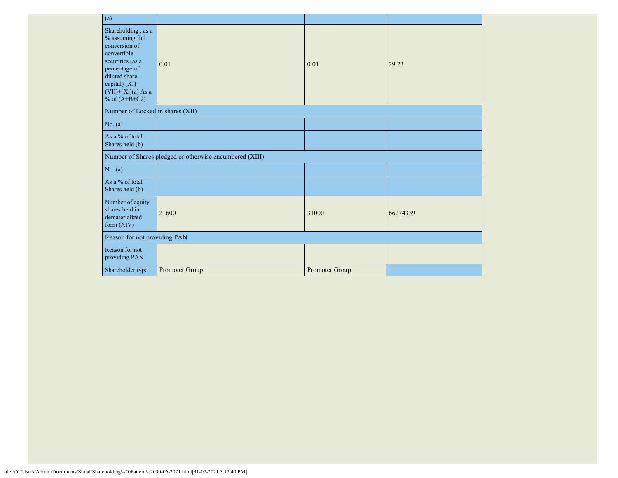| (a)                                                                                                                                                                                      |                                                         |                |          |  |  |
|------------------------------------------------------------------------------------------------------------------------------------------------------------------------------------------|---------------------------------------------------------|----------------|----------|--|--|
| Shareholding, as a<br>% assuming full<br>conversion of<br>convertible<br>securities (as a<br>percentage of<br>diluted share<br>capital) (XI)=<br>$(VII)+(Xi)(a)$ As a<br>% of $(A+B+C2)$ | 0.01                                                    | 0.01           | 29.23    |  |  |
| Number of Locked in shares (XII)                                                                                                                                                         |                                                         |                |          |  |  |
| No. (a)                                                                                                                                                                                  |                                                         |                |          |  |  |
| As a % of total<br>Shares held (b)                                                                                                                                                       |                                                         |                |          |  |  |
|                                                                                                                                                                                          | Number of Shares pledged or otherwise encumbered (XIII) |                |          |  |  |
| No. (a)                                                                                                                                                                                  |                                                         |                |          |  |  |
| As a % of total<br>Shares held (b)                                                                                                                                                       |                                                         |                |          |  |  |
| Number of equity<br>shares held in<br>dematerialized<br>form $(XIV)$                                                                                                                     | 21600                                                   | 31000          | 66274339 |  |  |
| Reason for not providing PAN                                                                                                                                                             |                                                         |                |          |  |  |
| Reason for not<br>providing PAN                                                                                                                                                          |                                                         |                |          |  |  |
| Shareholder type                                                                                                                                                                         | Promoter Group                                          | Promoter Group |          |  |  |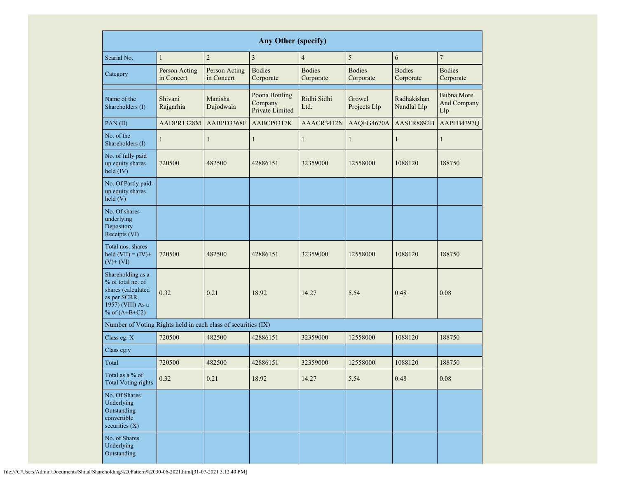|                                                                                                                      | <b>Any Other (specify)</b>                                 |                      |                            |                                                          |                        |                            |                                         |  |  |  |  |  |  |  |
|----------------------------------------------------------------------------------------------------------------------|------------------------------------------------------------|----------------------|----------------------------|----------------------------------------------------------|------------------------|----------------------------|-----------------------------------------|--|--|--|--|--|--|--|
| Searial No.                                                                                                          | $\mathbf{1}$                                               | $\overline{2}$       | $\mathfrak{Z}$             | $\overline{4}$                                           | 5                      | 6                          | $\boldsymbol{7}$                        |  |  |  |  |  |  |  |
| Category                                                                                                             | Person Acting<br>Person Acting<br>in Concert<br>in Concert |                      | <b>Bodies</b><br>Corporate | <b>Bodies</b><br><b>Bodies</b><br>Corporate<br>Corporate |                        | <b>Bodies</b><br>Corporate | <b>Bodies</b><br>Corporate              |  |  |  |  |  |  |  |
| Name of the<br>Shareholders (I)                                                                                      | Shivani<br>Rajgarhia                                       | Manisha<br>Dujodwala |                            | Ridhi Sidhi<br>Ltd.                                      | Growel<br>Projects Llp | Radhakishan<br>Nandlal Llp | <b>Bubna More</b><br>And Company<br>Llp |  |  |  |  |  |  |  |
| PAN(II)                                                                                                              | AADPR1328M                                                 | AABPD3368F           | AABCP0317K                 | AAACR3412N                                               | AAQFG4670A             | AASFR8892B                 | AAPFB4397Q                              |  |  |  |  |  |  |  |
| No. of the<br>Shareholders (I)                                                                                       | $\mathbf{1}$                                               | $\mathbf{1}$         | $\mathbf{1}$               | $\mathbf{1}$                                             | $\mathbf{1}$           | 1                          | 1                                       |  |  |  |  |  |  |  |
| No. of fully paid<br>up equity shares<br>held (IV)                                                                   | 720500                                                     | 482500               | 42886151                   | 32359000                                                 | 12558000               | 1088120                    | 188750                                  |  |  |  |  |  |  |  |
| No. Of Partly paid-<br>up equity shares<br>held(V)                                                                   |                                                            |                      |                            |                                                          |                        |                            |                                         |  |  |  |  |  |  |  |
| No. Of shares<br>underlying<br>Depository<br>Receipts (VI)                                                           |                                                            |                      |                            |                                                          |                        |                            |                                         |  |  |  |  |  |  |  |
| Total nos. shares<br>held $(VII) = (IV) +$<br>$(V)$ + $(VI)$                                                         | 482500<br>720500<br>0.32<br>0.21                           |                      | 42886151                   | 32359000                                                 | 12558000               | 1088120                    | 188750                                  |  |  |  |  |  |  |  |
| Shareholding as a<br>% of total no. of<br>shares (calculated<br>as per SCRR,<br>1957) (VIII) As a<br>% of $(A+B+C2)$ |                                                            |                      | 18.92                      | 14.27                                                    | 5.54                   | 0.48                       | 0.08                                    |  |  |  |  |  |  |  |
| Number of Voting Rights held in each class of securities (IX)                                                        |                                                            |                      |                            |                                                          |                        |                            |                                         |  |  |  |  |  |  |  |
| Class eg: $X$                                                                                                        | 720500                                                     | 482500               | 42886151                   | 32359000                                                 | 12558000               | 1088120                    | 188750                                  |  |  |  |  |  |  |  |
| Class eg:y                                                                                                           |                                                            |                      |                            |                                                          |                        |                            |                                         |  |  |  |  |  |  |  |
| Total                                                                                                                | 720500                                                     | 482500               | 42886151                   | 32359000                                                 | 12558000               | 1088120                    | 188750                                  |  |  |  |  |  |  |  |
| Total as a % of<br><b>Total Voting rights</b>                                                                        | 0.32                                                       | 0.21                 | 18.92                      | 14.27                                                    | 5.54                   | 0.48                       | $0.08\,$                                |  |  |  |  |  |  |  |
| No. Of Shares<br>Underlying<br>Outstanding<br>convertible<br>securities $(X)$                                        |                                                            |                      |                            |                                                          |                        |                            |                                         |  |  |  |  |  |  |  |
| No. of Shares<br>Underlying<br>Outstanding                                                                           |                                                            |                      |                            |                                                          |                        |                            |                                         |  |  |  |  |  |  |  |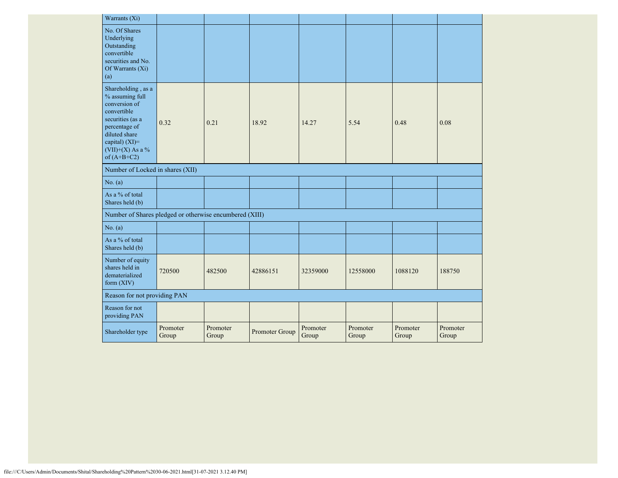| Warrants (Xi)                                                                                                                                                                        |                   |                   |                |                   |                   |                   |                   |
|--------------------------------------------------------------------------------------------------------------------------------------------------------------------------------------|-------------------|-------------------|----------------|-------------------|-------------------|-------------------|-------------------|
| No. Of Shares<br>Underlying<br>Outstanding<br>convertible<br>securities and No.<br>Of Warrants (Xi)<br>(a)                                                                           |                   |                   |                |                   |                   |                   |                   |
| Shareholding, as a<br>% assuming full<br>conversion of<br>convertible<br>securities (as a<br>percentage of<br>diluted share<br>capital) (XI)=<br>$(VII)+(X)$ As a %<br>of $(A+B+C2)$ | 0.32              | 0.21              | 18.92          | 14.27             | 5.54              | 0.48              | 0.08              |
| Number of Locked in shares (XII)                                                                                                                                                     |                   |                   |                |                   |                   |                   |                   |
| No. (a)                                                                                                                                                                              |                   |                   |                |                   |                   |                   |                   |
| As a % of total<br>Shares held (b)                                                                                                                                                   |                   |                   |                |                   |                   |                   |                   |
| Number of Shares pledged or otherwise encumbered (XIII)                                                                                                                              |                   |                   |                |                   |                   |                   |                   |
| No. (a)                                                                                                                                                                              |                   |                   |                |                   |                   |                   |                   |
| As a % of total<br>Shares held (b)                                                                                                                                                   |                   |                   |                |                   |                   |                   |                   |
| Number of equity<br>shares held in<br>dematerialized<br>form $(XIV)$                                                                                                                 | 720500            | 482500            | 42886151       | 32359000          | 12558000          | 1088120           | 188750            |
| Reason for not providing PAN                                                                                                                                                         |                   |                   |                |                   |                   |                   |                   |
| Reason for not<br>providing PAN                                                                                                                                                      |                   |                   |                |                   |                   |                   |                   |
| Shareholder type                                                                                                                                                                     | Promoter<br>Group | Promoter<br>Group | Promoter Group | Promoter<br>Group | Promoter<br>Group | Promoter<br>Group | Promoter<br>Group |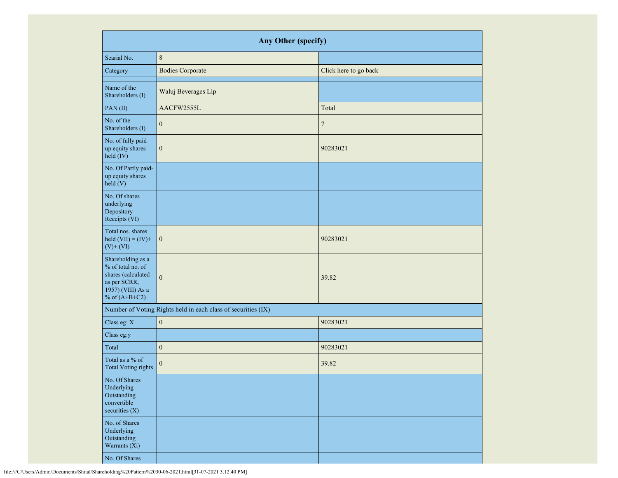|                                                                                                                      | Any Other (specify)                                           |                       |  |  |  |  |  |  |  |  |  |
|----------------------------------------------------------------------------------------------------------------------|---------------------------------------------------------------|-----------------------|--|--|--|--|--|--|--|--|--|
| Searial No.                                                                                                          | $\,8\,$                                                       |                       |  |  |  |  |  |  |  |  |  |
| Category                                                                                                             | <b>Bodies Corporate</b>                                       | Click here to go back |  |  |  |  |  |  |  |  |  |
| Name of the<br>Shareholders (I)                                                                                      | Waluj Beverages Llp                                           |                       |  |  |  |  |  |  |  |  |  |
| PAN(II)                                                                                                              | AACFW2555L                                                    | Total                 |  |  |  |  |  |  |  |  |  |
| No. of the<br>Shareholders (I)                                                                                       | $\mathbf{0}$                                                  | $\tau$                |  |  |  |  |  |  |  |  |  |
| No. of fully paid<br>up equity shares<br>held (IV)                                                                   | $\boldsymbol{0}$                                              | 90283021              |  |  |  |  |  |  |  |  |  |
| No. Of Partly paid-<br>up equity shares<br>held (V)                                                                  |                                                               |                       |  |  |  |  |  |  |  |  |  |
| No. Of shares<br>underlying<br>Depository<br>Receipts (VI)                                                           |                                                               |                       |  |  |  |  |  |  |  |  |  |
| Total nos. shares<br>held $(VII) = (IV) +$<br>$(V)$ + $(VI)$                                                         | $\boldsymbol{0}$                                              | 90283021              |  |  |  |  |  |  |  |  |  |
| Shareholding as a<br>% of total no. of<br>shares (calculated<br>as per SCRR,<br>1957) (VIII) As a<br>% of $(A+B+C2)$ | $\mathbf{0}$                                                  | 39.82                 |  |  |  |  |  |  |  |  |  |
|                                                                                                                      | Number of Voting Rights held in each class of securities (IX) |                       |  |  |  |  |  |  |  |  |  |
| Class eg: X                                                                                                          | $\boldsymbol{0}$                                              | 90283021              |  |  |  |  |  |  |  |  |  |
| Class eg:y                                                                                                           |                                                               |                       |  |  |  |  |  |  |  |  |  |
| Total                                                                                                                | $\boldsymbol{0}$                                              | 90283021              |  |  |  |  |  |  |  |  |  |
| Total as a % of<br><b>Total Voting rights</b>                                                                        | $\boldsymbol{0}$                                              | 39.82                 |  |  |  |  |  |  |  |  |  |
| No. Of Shares<br>Underlying<br>Outstanding<br>convertible<br>securities $(X)$                                        |                                                               |                       |  |  |  |  |  |  |  |  |  |
| No. of Shares<br>Underlying<br>Outstanding<br>Warrants (Xi)                                                          |                                                               |                       |  |  |  |  |  |  |  |  |  |
| No. Of Shares                                                                                                        |                                                               |                       |  |  |  |  |  |  |  |  |  |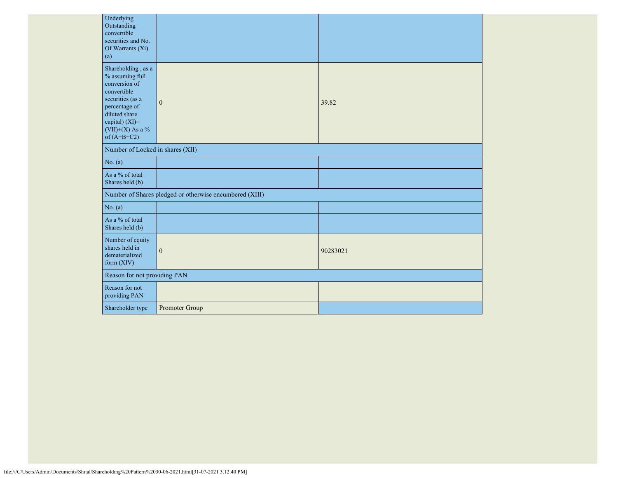| Underlying<br>Outstanding<br>convertible<br>securities and No.<br>Of Warrants (Xi)<br>(a)                                                                                            |                                                         |          |
|--------------------------------------------------------------------------------------------------------------------------------------------------------------------------------------|---------------------------------------------------------|----------|
| Shareholding, as a<br>% assuming full<br>conversion of<br>convertible<br>securities (as a<br>percentage of<br>diluted share<br>capital) (XI)=<br>$(VII)+(X)$ As a %<br>of $(A+B+C2)$ | $\mathbf{0}$                                            | 39.82    |
| Number of Locked in shares (XII)                                                                                                                                                     |                                                         |          |
| No. (a)                                                                                                                                                                              |                                                         |          |
| As a % of total<br>Shares held (b)                                                                                                                                                   |                                                         |          |
|                                                                                                                                                                                      | Number of Shares pledged or otherwise encumbered (XIII) |          |
| No. (a)                                                                                                                                                                              |                                                         |          |
| As a % of total<br>Shares held (b)                                                                                                                                                   |                                                         |          |
| Number of equity<br>shares held in<br>dematerialized<br>form (XIV)                                                                                                                   | $\boldsymbol{0}$                                        | 90283021 |
| Reason for not providing PAN                                                                                                                                                         |                                                         |          |
| Reason for not<br>providing PAN                                                                                                                                                      |                                                         |          |
| Shareholder type                                                                                                                                                                     | Promoter Group                                          |          |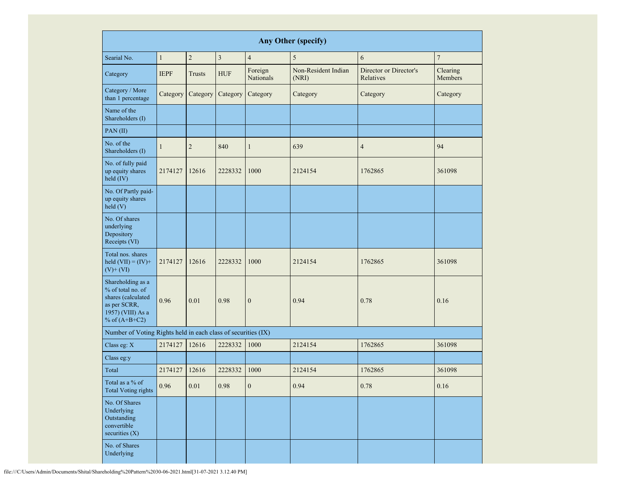|                                                                             | Any Other (specify)                                                                                                                   |                |                |                      |                              |                                     |                     |  |  |  |  |  |
|-----------------------------------------------------------------------------|---------------------------------------------------------------------------------------------------------------------------------------|----------------|----------------|----------------------|------------------------------|-------------------------------------|---------------------|--|--|--|--|--|
| Searial No.                                                                 | $\mathbf{1}$                                                                                                                          | $\sqrt{2}$     | $\overline{3}$ | $\overline{4}$       | 5                            | 6                                   | $\overline{7}$      |  |  |  |  |  |
| Category                                                                    | <b>IEPF</b>                                                                                                                           | Trusts         | <b>HUF</b>     | Foreign<br>Nationals | Non-Resident Indian<br>(NRI) | Director or Director's<br>Relatives | Clearing<br>Members |  |  |  |  |  |
| Category / More<br>than 1 percentage                                        | Category                                                                                                                              | Category       | Category       | Category             | Category                     | Category                            | Category            |  |  |  |  |  |
| Name of the<br>Shareholders (I)                                             |                                                                                                                                       |                |                |                      |                              |                                     |                     |  |  |  |  |  |
| PAN(II)                                                                     |                                                                                                                                       |                |                |                      |                              |                                     |                     |  |  |  |  |  |
| No. of the<br>Shareholders (I)                                              | $\mathbf{1}$                                                                                                                          | $\overline{2}$ | 840            | $\mathbf{1}$         | 639                          | $\overline{4}$                      | 94                  |  |  |  |  |  |
| No. of fully paid<br>up equity shares<br>held (IV)                          | 2174127                                                                                                                               | 12616          | 2228332        | 1000                 | 2124154                      | 1762865                             | 361098              |  |  |  |  |  |
| No. Of Partly paid-<br>up equity shares<br>held(V)                          |                                                                                                                                       |                |                |                      |                              |                                     |                     |  |  |  |  |  |
| No. Of shares<br>underlying<br>Depository<br>Receipts (VI)                  |                                                                                                                                       |                |                |                      |                              |                                     |                     |  |  |  |  |  |
| Total nos. shares<br>held $(VII) = (IV) +$<br>$(V)$ + $(VI)$                | 2174127<br>12616<br>Shareholding as a<br>% of total no. of<br>shares (calculated<br>0.96<br>0.01<br>as per SCRR,<br>1957) (VIII) As a |                | 2228332        | 1000                 | 2124154                      | 1762865                             | 361098              |  |  |  |  |  |
| % of $(A+B+C2)$                                                             |                                                                                                                                       |                | 0.98           | $\boldsymbol{0}$     | 0.94                         | 0.78                                | 0.16                |  |  |  |  |  |
| Number of Voting Rights held in each class of securities (IX)               |                                                                                                                                       |                |                |                      |                              |                                     |                     |  |  |  |  |  |
| Class eg: X                                                                 | 2174127                                                                                                                               | 12616          | 2228332        | 1000                 | 2124154                      | 1762865                             | 361098              |  |  |  |  |  |
| Class eg:y                                                                  |                                                                                                                                       |                |                |                      |                              |                                     |                     |  |  |  |  |  |
| Total                                                                       | 2174127                                                                                                                               | 12616          | 2228332        | 1000                 | 2124154                      | 1762865                             | 361098              |  |  |  |  |  |
| Total as a % of<br><b>Total Voting rights</b>                               | 0.96                                                                                                                                  | $0.01\,$       | 0.98           | $\boldsymbol{0}$     | 0.94                         | 0.78                                | 0.16                |  |  |  |  |  |
| No. Of Shares<br>Underlying<br>Outstanding<br>convertible<br>securities (X) |                                                                                                                                       |                |                |                      |                              |                                     |                     |  |  |  |  |  |
| No. of Shares<br>Underlying                                                 |                                                                                                                                       |                |                |                      |                              |                                     |                     |  |  |  |  |  |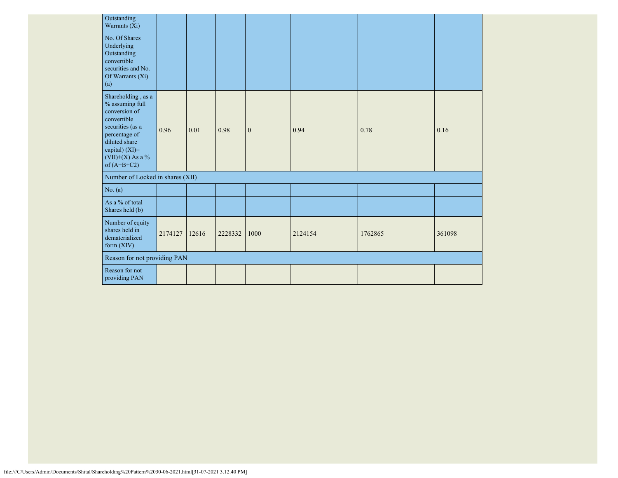| Outstanding<br>Warrants (Xi)                                                                                                                                                          |         |       |         |              |         |         |        |
|---------------------------------------------------------------------------------------------------------------------------------------------------------------------------------------|---------|-------|---------|--------------|---------|---------|--------|
| No. Of Shares<br>Underlying<br>Outstanding<br>convertible<br>securities and No.<br>Of Warrants (Xi)<br>(a)                                                                            |         |       |         |              |         |         |        |
| Shareholding, as a<br>$\%$ assuming full<br>conversion of<br>convertible<br>securities (as a<br>percentage of<br>diluted share<br>capital) (XI)=<br>(VII)+(X) As a %<br>of $(A+B+C2)$ | 0.96    | 0.01  | 0.98    | $\mathbf{0}$ | 0.94    | 0.78    | 0.16   |
| Number of Locked in shares (XII)                                                                                                                                                      |         |       |         |              |         |         |        |
| No. (a)                                                                                                                                                                               |         |       |         |              |         |         |        |
| As a % of total<br>Shares held (b)                                                                                                                                                    |         |       |         |              |         |         |        |
| Number of equity<br>shares held in<br>dematerialized<br>form (XIV)                                                                                                                    | 2174127 | 12616 | 2228332 | 1000         | 2124154 | 1762865 | 361098 |
| Reason for not providing PAN                                                                                                                                                          |         |       |         |              |         |         |        |
| Reason for not<br>providing PAN                                                                                                                                                       |         |       |         |              |         |         |        |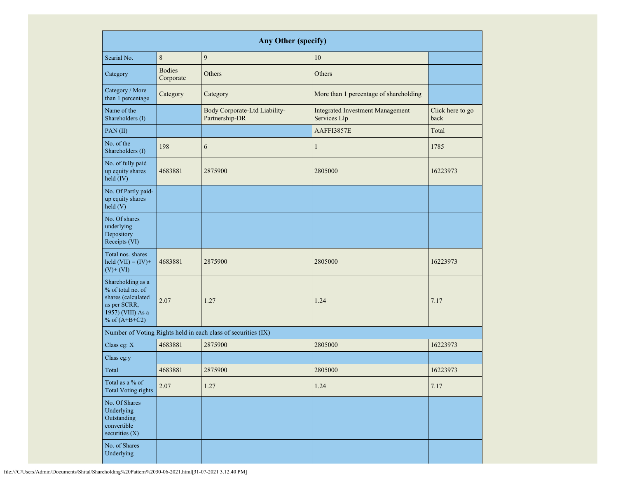|                                                                                                                      | <b>Any Other (specify)</b> |                                                               |                                                         |                          |  |  |  |  |  |  |  |  |
|----------------------------------------------------------------------------------------------------------------------|----------------------------|---------------------------------------------------------------|---------------------------------------------------------|--------------------------|--|--|--|--|--|--|--|--|
| Searial No.                                                                                                          | 8                          | 9                                                             | 10                                                      |                          |  |  |  |  |  |  |  |  |
| Category                                                                                                             | <b>Bodies</b><br>Corporate | Others                                                        | Others                                                  |                          |  |  |  |  |  |  |  |  |
| Category / More<br>than 1 percentage                                                                                 | Category                   | Category                                                      | More than 1 percentage of shareholding                  |                          |  |  |  |  |  |  |  |  |
| Name of the<br>Shareholders (I)                                                                                      |                            | Body Corporate-Ltd Liability-<br>Partnership-DR               | <b>Integrated Investment Management</b><br>Services Llp | Click here to go<br>back |  |  |  |  |  |  |  |  |
| PAN(II)                                                                                                              |                            |                                                               | AAFFI3857E                                              | Total                    |  |  |  |  |  |  |  |  |
| No. of the<br>Shareholders (I)                                                                                       | 198                        | 6                                                             | $\mathbf{1}$                                            | 1785                     |  |  |  |  |  |  |  |  |
| No. of fully paid<br>up equity shares<br>held (IV)                                                                   | 4683881                    | 2875900                                                       | 2805000                                                 | 16223973                 |  |  |  |  |  |  |  |  |
| No. Of Partly paid-<br>up equity shares<br>held(V)                                                                   |                            |                                                               |                                                         |                          |  |  |  |  |  |  |  |  |
| No. Of shares<br>underlying<br>Depository<br>Receipts (VI)                                                           |                            |                                                               |                                                         |                          |  |  |  |  |  |  |  |  |
| Total nos. shares<br>held $(VII) = (IV) +$<br>$(V)$ + $(VI)$                                                         | 4683881                    | 2875900                                                       | 2805000                                                 | 16223973                 |  |  |  |  |  |  |  |  |
| Shareholding as a<br>% of total no. of<br>shares (calculated<br>as per SCRR,<br>1957) (VIII) As a<br>% of $(A+B+C2)$ | 2.07                       | 1.27                                                          | 1.24                                                    | 7.17                     |  |  |  |  |  |  |  |  |
|                                                                                                                      |                            | Number of Voting Rights held in each class of securities (IX) |                                                         |                          |  |  |  |  |  |  |  |  |
| Class eg: X                                                                                                          | 4683881                    | 2875900                                                       | 2805000                                                 | 16223973                 |  |  |  |  |  |  |  |  |
| Class eg:y                                                                                                           |                            |                                                               |                                                         |                          |  |  |  |  |  |  |  |  |
| Total                                                                                                                | 4683881                    | 2875900                                                       | 2805000                                                 | 16223973                 |  |  |  |  |  |  |  |  |
| Total as a % of<br><b>Total Voting rights</b>                                                                        | 2.07                       | 1.27                                                          | 1.24                                                    | 7.17                     |  |  |  |  |  |  |  |  |
| No. Of Shares<br>Underlying<br>Outstanding<br>convertible<br>securities $(X)$                                        |                            |                                                               |                                                         |                          |  |  |  |  |  |  |  |  |
| No. of Shares<br>Underlying                                                                                          |                            |                                                               |                                                         |                          |  |  |  |  |  |  |  |  |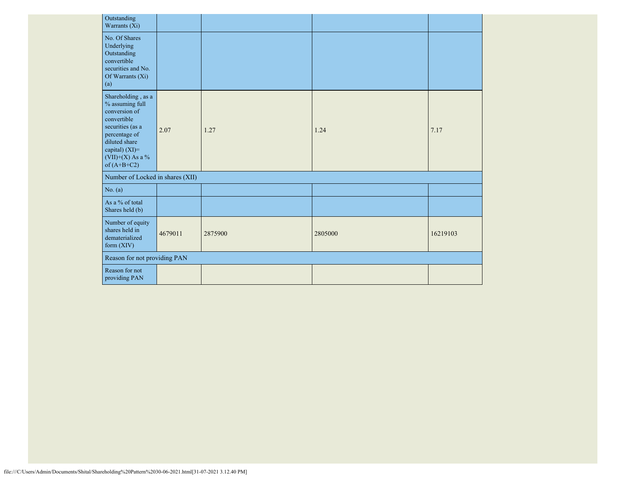| Outstanding<br>Warrants (Xi)                                                                                                                                                            |         |         |         |          |
|-----------------------------------------------------------------------------------------------------------------------------------------------------------------------------------------|---------|---------|---------|----------|
| No. Of Shares<br>Underlying<br>Outstanding<br>convertible<br>securities and No.<br>Of Warrants (Xi)<br>(a)                                                                              |         |         |         |          |
| Shareholding, as a<br>$\%$ assuming full<br>conversion of<br>convertible<br>securities (as a<br>percentage of<br>diluted share<br>capital) (XI)=<br>(VII)+(X) As a $%$<br>of $(A+B+C2)$ | 2.07    | 1.27    | 1.24    | 7.17     |
| Number of Locked in shares (XII)                                                                                                                                                        |         |         |         |          |
| No. (a)                                                                                                                                                                                 |         |         |         |          |
| As a % of total<br>Shares held (b)                                                                                                                                                      |         |         |         |          |
| Number of equity<br>shares held in<br>dematerialized<br>form $(XIV)$                                                                                                                    | 4679011 | 2875900 | 2805000 | 16219103 |
| Reason for not providing PAN                                                                                                                                                            |         |         |         |          |
| Reason for not<br>providing PAN                                                                                                                                                         |         |         |         |          |